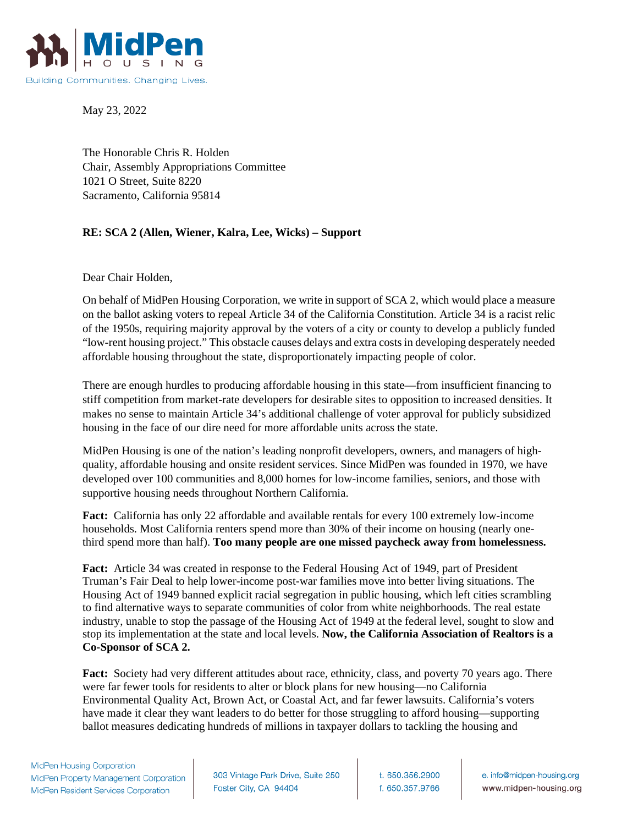

May 23, 2022

The Honorable Chris R. Holden Chair, Assembly Appropriations Committee 1021 O Street, Suite 8220 Sacramento, California 95814

## **RE: SCA 2 (Allen, Wiener, Kalra, Lee, Wicks) – Support**

Dear Chair Holden,

On behalf of MidPen Housing Corporation, we write in support of SCA 2, which would place a measure on the ballot asking voters to repeal Article 34 of the California Constitution. Article 34 is a racist relic of the 1950s, requiring majority approval by the voters of a city or county to develop a publicly funded "low-rent housing project." This obstacle causes delays and extra costs in developing desperately needed affordable housing throughout the state, disproportionately impacting people of color.

There are enough hurdles to producing affordable housing in this state—from insufficient financing to stiff competition from market-rate developers for desirable sites to opposition to increased densities. It makes no sense to maintain Article 34's additional challenge of voter approval for publicly subsidized housing in the face of our dire need for more affordable units across the state.

MidPen Housing is one of the nation's leading nonprofit developers, owners, and managers of highquality, affordable housing and onsite resident services. Since MidPen was founded in 1970, we have developed over 100 communities and 8,000 homes for low-income families, seniors, and those with supportive housing needs throughout Northern California.

**Fact:** California has only 22 affordable and available rentals for every 100 extremely low-income households. Most California renters spend more than 30% of their income on housing (nearly onethird spend more than half). **Too many people are one missed paycheck away from homelessness.**

**Fact:** Article 34 was created in response to the Federal Housing Act of 1949, part of President Truman's Fair Deal to help lower-income post-war families move into better living situations. The Housing Act of 1949 banned explicit racial segregation in public housing, which left cities scrambling to find alternative ways to separate communities of color from white neighborhoods. The real estate industry, unable to stop the passage of the Housing Act of 1949 at the federal level, sought to slow and stop its implementation at the state and local levels. **Now, the California Association of Realtors is a Co-Sponsor of SCA 2.** 

**Fact:** Society had very different attitudes about race, ethnicity, class, and poverty 70 years ago. There were far fewer tools for residents to alter or block plans for new housing—no California Environmental Quality Act, Brown Act, or Coastal Act, and far fewer lawsuits. California's voters have made it clear they want leaders to do better for those struggling to afford housing—supporting ballot measures dedicating hundreds of millions in taxpayer dollars to tackling the housing and

303 Vintage Park Drive, Suite 250 Foster City, CA 94404

t. 650.356.2900 f. 650.357.9766